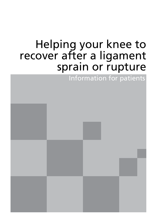# Helping your knee to recover after a ligament sprain or rupture

Information for patients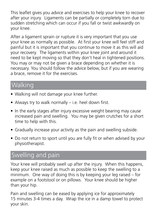This leaflet gives you advice and exercises to help your knee to recover after your injury. Ligaments can be partially or completely torn due to sudden stretching which can occur if you fall or twist awkwardly on your knee.

After a ligament sprain or rupture it is very important that you use your knee as normally as possible. At first your knee will feel stiff and painful but it is important that you continue to move it as this will aid your recovery. The ligaments within your knee joint and around it need to be kept moving so that they don't heal in tightened positions. You may or may not be given a brace depending on whether it is necessary. You should follow the advice below, but if you are wearing a brace, remove it for the exercises.

### Walking

- Walking will not damage your knee further.
- Always try to walk normally i.e. heel down first.
- In the early stages after injury excessive weight bearing may cause increased pain and swelling. You may be given crutches for a short time to help with this.
- Gradually increase your activity as the pain and swelling subside.
- Do not return to sport until you are fully fit or when advised by your physiotherapist.

## Swelling and pain

Your knee will probably swell up after the injury. When this happens, keep your knee raised as much as possible to keep the swelling to a minimum. One way of doing this is by keeping your leg raised – for example on a footstool or on pillows. Your knee should be higher than your hip.

Pain and swelling can be eased by applying ice for approximately 15 minutes 3-4 times a day. Wrap the ice in a damp towel to protect your skin.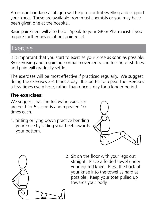An elastic bandage / Tubigrip will help to control swelling and support your knee. These are available from most chemists or you may have been given one at the hospital.

Basic painkillers will also help. Speak to your GP or Pharmacist if you require further advice about pain relief.

#### Exercise

It is important that you start to exercise your knee as soon as possible. By exercising and regaining normal movements, the feeling of stiffness and pain will gradually settle.

The exercises will be most effective if practiced regularly. We suggest doing the exercises 3-4 times a day. It is better to repeat the exercises a few times every hour, rather than once a day for a longer period.

#### The exercises:

We suggest that the following exercises are held for 5 seconds and repeated 10 times each.

1. Sitting or lying down practice bending your knee by sliding your heel towards your bottom.





2. Sit on the floor with your legs out straight. Place a folded towel under your injured knee. Press the back of your knee into the towel as hard as possible. Keep your toes pulled up towards your body.